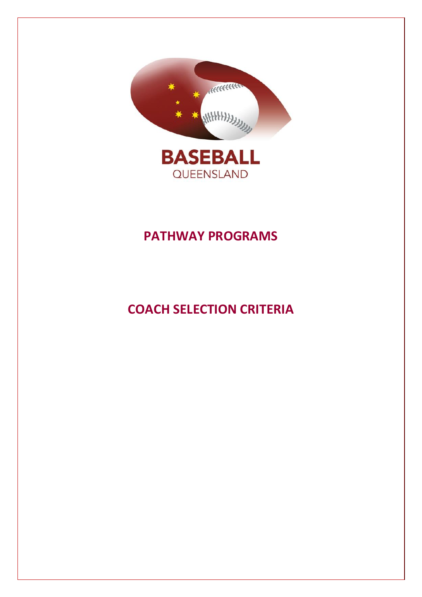

# **PATHWAY PROGRAMS**

# **COACH SELECTION CRITERIA**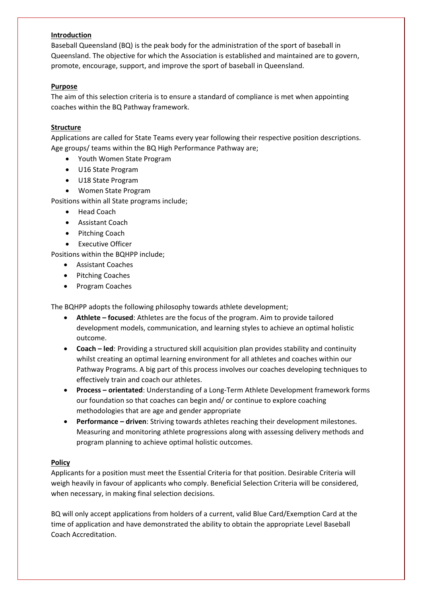#### **Introduction**

Baseball Queensland (BQ) is the peak body for the administration of the sport of baseball in Queensland. The objective for which the Association is established and maintained are to govern, promote, encourage, support, and improve the sport of baseball in Queensland.

#### **Purpose**

The aim of this selection criteria is to ensure a standard of compliance is met when appointing coaches within the BQ Pathway framework.

#### **Structure**

Applications are called for State Teams every year following their respective position descriptions. Age groups/ teams within the BQ High Performance Pathway are;

- Youth Women State Program
- U16 State Program
- U18 State Program
- Women State Program

Positions within all State programs include;

- Head Coach
- Assistant Coach
- Pitching Coach
- Executive Officer

Positions within the BQHPP include;

- Assistant Coaches
- Pitching Coaches
- Program Coaches

The BQHPP adopts the following philosophy towards athlete development;

- **Athlete – focused**: Athletes are the focus of the program. Aim to provide tailored development models, communication, and learning styles to achieve an optimal holistic outcome.
- **Coach – led**: Providing a structured skill acquisition plan provides stability and continuity whilst creating an optimal learning environment for all athletes and coaches within our Pathway Programs. A big part of this process involves our coaches developing techniques to effectively train and coach our athletes.
- **Process – orientated**: Understanding of a Long-Term Athlete Development framework forms our foundation so that coaches can begin and/ or continue to explore coaching methodologies that are age and gender appropriate
- **Performance – driven**: Striving towards athletes reaching their development milestones. Measuring and monitoring athlete progressions along with assessing delivery methods and program planning to achieve optimal holistic outcomes.

#### **Policy**

Applicants for a position must meet the Essential Criteria for that position. Desirable Criteria will weigh heavily in favour of applicants who comply. Beneficial Selection Criteria will be considered, when necessary, in making final selection decisions.

BQ will only accept applications from holders of a current, valid Blue Card/Exemption Card at the time of application and have demonstrated the ability to obtain the appropriate Level Baseball Coach Accreditation.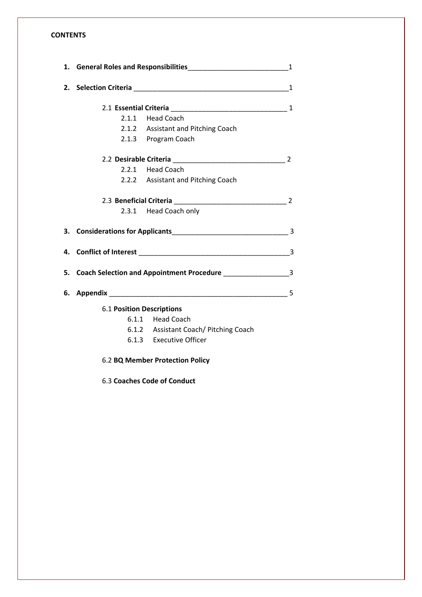### **CONTENTS**

|                                  | 2.1.1 Head Coach                                                                 |  |
|----------------------------------|----------------------------------------------------------------------------------|--|
|                                  | 2.1.2 Assistant and Pitching Coach                                               |  |
|                                  | 2.1.3 Program Coach                                                              |  |
|                                  |                                                                                  |  |
|                                  | 2.2.1 Head Coach                                                                 |  |
|                                  | 2.2.2 Assistant and Pitching Coach                                               |  |
|                                  |                                                                                  |  |
|                                  | 2.3.1 Head Coach only                                                            |  |
|                                  |                                                                                  |  |
|                                  |                                                                                  |  |
|                                  | 5. Coach Selection and Appointment Procedure ___________________________________ |  |
|                                  |                                                                                  |  |
| <b>6.1 Position Descriptions</b> |                                                                                  |  |
|                                  | 6.1.1 Head Coach                                                                 |  |
|                                  | 6.1.2 Assistant Coach/ Pitching Coach                                            |  |
|                                  | 6.1.3 Executive Officer                                                          |  |
|                                  |                                                                                  |  |

6.2 **BQ Member Protection Policy**

6.3 **Coaches Code of Conduct**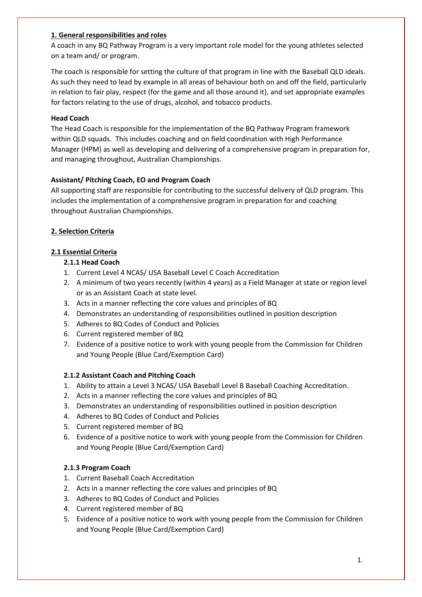#### **1. General responsibilities and roles**

A coach in any BQ Pathway Program is a very important role model for the young athletes selected on a team and/ or program.

The coach is responsible for setting the culture of that program in line with the Baseball QLD ideals. As such they need to lead by example in all areas of behaviour both on and off the field, particularly in relation to fair play, respect (for the game and all those around it), and set appropriate examples for factors relating to the use of drugs, alcohol, and tobacco products.

#### **Head Coach**

The Head Coach is responsible for the implementation of the BQ Pathway Program framework within QLD squads. This includes coaching and on field coordination with High Performance Manager (HPM) as well as developing and delivering of a comprehensive program in preparation for, and managing throughout, Australian Championships.

#### **Assistant/ Pitching Coach, EO and Program Coach**

All supporting staff are responsible for contributing to the successful delivery of QLD program. This includes the implementation of a comprehensive program in preparation for and coaching throughout Australian Championships.

#### **2. Selection Criteria**

#### **2.1 Essential Criteria**

#### **2.1.1 Head Coach**

- 1. Current Level 4 NCAS/ USA Baseball Level C Coach Accreditation
- 2. A minimum of two years recently (within 4 years) as a Field Manager at state or region level or as an Assistant Coach at state level.
- 3. Acts in a manner reflecting the core values and principles of BQ
- 4. Demonstrates an understanding of responsibilities outlined in position description
- 5. Adheres to BQ Codes of Conduct and Policies
- 6. Current registered member of BQ
- 7. Evidence of a positive notice to work with young people from the Commission for Children and Young People (Blue Card/Exemption Card)

#### **2.1.2 Assistant Coach and Pitching Coach**

- 1. Ability to attain a Level 3 NCAS/ USA Baseball Level B Baseball Coaching Accreditation.
- 2. Acts in a manner reflecting the core values and principles of BQ
- 3. Demonstrates an understanding of responsibilities outlined in position description
- 4. Adheres to BQ Codes of Conduct and Policies
- 5. Current registered member of BQ
- 6. Evidence of a positive notice to work with young people from the Commission for Children and Young People (Blue Card/Exemption Card)

#### **2.1.3 Program Coach**

- 1. Current Baseball Coach Accreditation
- 2. Acts in a manner reflecting the core values and principles of BQ
- 3. Adheres to BQ Codes of Conduct and Policies
- 4. Current registered member of BQ
- 5. Evidence of a positive notice to work with young people from the Commission for Children and Young People (Blue Card/Exemption Card)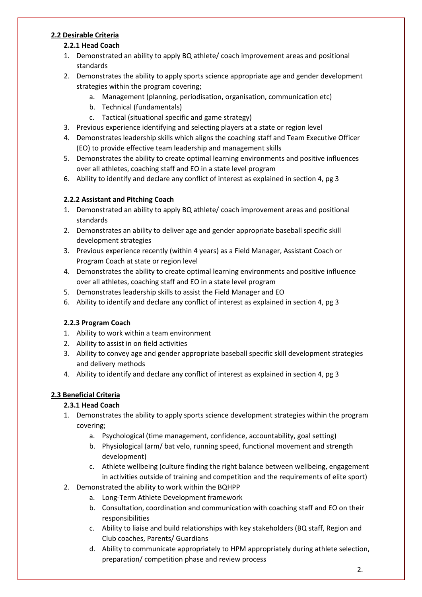# **2.2 Desirable Criteria**

# **2.2.1 Head Coach**

- 1. Demonstrated an ability to apply BQ athlete/ coach improvement areas and positional standards
- 2. Demonstrates the ability to apply sports science appropriate age and gender development strategies within the program covering;
	- a. Management (planning, periodisation, organisation, communication etc)
	- b. Technical (fundamentals)
	- c. Tactical (situational specific and game strategy)
- 3. Previous experience identifying and selecting players at a state or region level
- 4. Demonstrates leadership skills which aligns the coaching staff and Team Executive Officer (EO) to provide effective team leadership and management skills
- 5. Demonstrates the ability to create optimal learning environments and positive influences over all athletes, coaching staff and EO in a state level program
- 6. Ability to identify and declare any conflict of interest as explained in section 4, pg 3

# **2.2.2 Assistant and Pitching Coach**

- 1. Demonstrated an ability to apply BQ athlete/ coach improvement areas and positional standards
- 2. Demonstrates an ability to deliver age and gender appropriate baseball specific skill development strategies
- 3. Previous experience recently (within 4 years) as a Field Manager, Assistant Coach or Program Coach at state or region level
- 4. Demonstrates the ability to create optimal learning environments and positive influence over all athletes, coaching staff and EO in a state level program
- 5. Demonstrates leadership skills to assist the Field Manager and EO
- 6. Ability to identify and declare any conflict of interest as explained in section 4, pg 3

# **2.2.3 Program Coach**

- 1. Ability to work within a team environment
- 2. Ability to assist in on field activities
- 3. Ability to convey age and gender appropriate baseball specific skill development strategies and delivery methods
- 4. Ability to identify and declare any conflict of interest as explained in section 4, pg 3

# **2.3 Beneficial Criteria**

# **2.3.1 Head Coach**

- 1. Demonstrates the ability to apply sports science development strategies within the program covering;
	- a. Psychological (time management, confidence, accountability, goal setting)
	- b. Physiological (arm/ bat velo, running speed, functional movement and strength development)
	- c. Athlete wellbeing (culture finding the right balance between wellbeing, engagement in activities outside of training and competition and the requirements of elite sport)
- 2. Demonstrated the ability to work within the BQHPP
	- a. Long-Term Athlete Development framework
	- b. Consultation, coordination and communication with coaching staff and EO on their responsibilities
	- c. Ability to liaise and build relationships with key stakeholders (BQ staff, Region and Club coaches, Parents/ Guardians
	- d. Ability to communicate appropriately to HPM appropriately during athlete selection, preparation/ competition phase and review process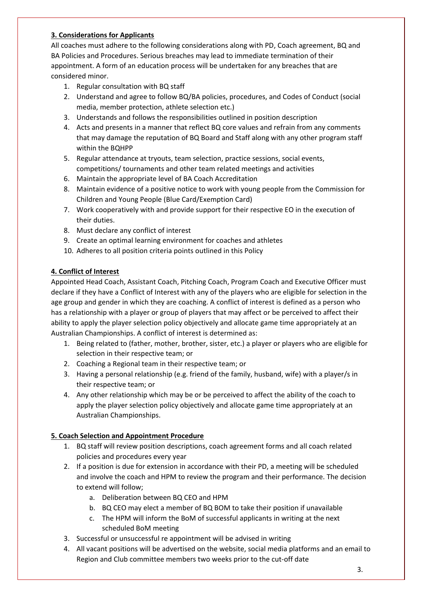### **3. Considerations for Applicants**

All coaches must adhere to the following considerations along with PD, Coach agreement, BQ and BA Policies and Procedures. Serious breaches may lead to immediate termination of their appointment. A form of an education process will be undertaken for any breaches that are considered minor.

- 1. Regular consultation with BQ staff
- 2. Understand and agree to follow BQ/BA policies, procedures, and Codes of Conduct (social media, member protection, athlete selection etc.)
- 3. Understands and follows the responsibilities outlined in position description
- 4. Acts and presents in a manner that reflect BQ core values and refrain from any comments that may damage the reputation of BQ Board and Staff along with any other program staff within the BQHPP
- 5. Regular attendance at tryouts, team selection, practice sessions, social events, competitions/ tournaments and other team related meetings and activities
- 6. Maintain the appropriate level of BA Coach Accreditation
- 8. Maintain evidence of a positive notice to work with young people from the Commission for Children and Young People (Blue Card/Exemption Card)
- 7. Work cooperatively with and provide support for their respective EO in the execution of their duties.
- 8. Must declare any conflict of interest
- 9. Create an optimal learning environment for coaches and athletes
- 10. Adheres to all position criteria points outlined in this Policy

### **4. Conflict of Interest**

Appointed Head Coach, Assistant Coach, Pitching Coach, Program Coach and Executive Officer must declare if they have a Conflict of Interest with any of the players who are eligible for selection in the age group and gender in which they are coaching. A conflict of interest is defined as a person who has a relationship with a player or group of players that may affect or be perceived to affect their ability to apply the player selection policy objectively and allocate game time appropriately at an Australian Championships. A conflict of interest is determined as:

- 1. Being related to (father, mother, brother, sister, etc.) a player or players who are eligible for selection in their respective team; or
- 2. Coaching a Regional team in their respective team; or
- 3. Having a personal relationship (e.g. friend of the family, husband, wife) with a player/s in their respective team; or
- 4. Any other relationship which may be or be perceived to affect the ability of the coach to apply the player selection policy objectively and allocate game time appropriately at an Australian Championships.

#### **5. Coach Selection and Appointment Procedure**

- 1. BQ staff will review position descriptions, coach agreement forms and all coach related policies and procedures every year
- 2. If a position is due for extension in accordance with their PD, a meeting will be scheduled and involve the coach and HPM to review the program and their performance. The decision to extend will follow;
	- a. Deliberation between BQ CEO and HPM
	- b. BQ CEO may elect a member of BQ BOM to take their position if unavailable
	- c. The HPM will inform the BoM of successful applicants in writing at the next scheduled BoM meeting
- 3. Successful or unsuccessful re appointment will be advised in writing
- 4. All vacant positions will be advertised on the website, social media platforms and an email to Region and Club committee members two weeks prior to the cut-off date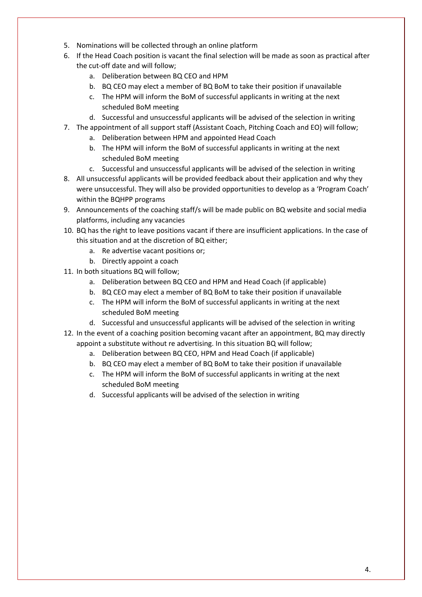- 5. Nominations will be collected through an online platform
- 6. If the Head Coach position is vacant the final selection will be made as soon as practical after the cut-off date and will follow;
	- a. Deliberation between BQ CEO and HPM
	- b. BQ CEO may elect a member of BQ BoM to take their position if unavailable
	- c. The HPM will inform the BoM of successful applicants in writing at the next scheduled BoM meeting
	- d. Successful and unsuccessful applicants will be advised of the selection in writing
- 7. The appointment of all support staff (Assistant Coach, Pitching Coach and EO) will follow;
	- a. Deliberation between HPM and appointed Head Coach
	- b. The HPM will inform the BoM of successful applicants in writing at the next scheduled BoM meeting
	- c. Successful and unsuccessful applicants will be advised of the selection in writing
- 8. All unsuccessful applicants will be provided feedback about their application and why they were unsuccessful. They will also be provided opportunities to develop as a 'Program Coach' within the BQHPP programs
- 9. Announcements of the coaching staff/s will be made public on BQ website and social media platforms, including any vacancies
- 10. BQ has the right to leave positions vacant if there are insufficient applications. In the case of this situation and at the discretion of BQ either;
	- a. Re advertise vacant positions or;
	- b. Directly appoint a coach
- 11. In both situations BQ will follow;
	- a. Deliberation between BQ CEO and HPM and Head Coach (if applicable)
	- b. BQ CEO may elect a member of BQ BoM to take their position if unavailable
	- c. The HPM will inform the BoM of successful applicants in writing at the next scheduled BoM meeting
	- d. Successful and unsuccessful applicants will be advised of the selection in writing
- 12. In the event of a coaching position becoming vacant after an appointment, BQ may directly appoint a substitute without re advertising. In this situation BQ will follow;
	- a. Deliberation between BQ CEO, HPM and Head Coach (if applicable)
	- b. BQ CEO may elect a member of BQ BoM to take their position if unavailable
	- c. The HPM will inform the BoM of successful applicants in writing at the next scheduled BoM meeting
	- d. Successful applicants will be advised of the selection in writing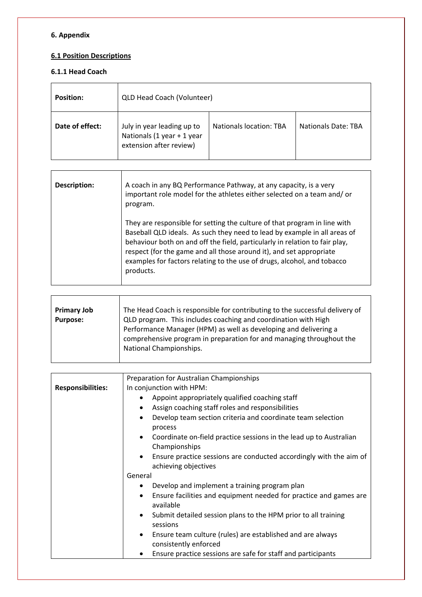# **6. Appendix**

# **6.1 Position Descriptions**

# **6.1.1 Head Coach**

| <b>Position:</b> | QLD Head Coach (Volunteer)                                                          |                                |                            |
|------------------|-------------------------------------------------------------------------------------|--------------------------------|----------------------------|
| Date of effect:  | July in year leading up to<br>Nationals (1 year + 1 year<br>extension after review) | <b>Nationals location: TBA</b> | <b>Nationals Date: TBA</b> |

| Description: | A coach in any BQ Performance Pathway, at any capacity, is a very<br>important role model for the athletes either selected on a team and/ or<br>program.                                                                                                                                                                                                                                             |
|--------------|------------------------------------------------------------------------------------------------------------------------------------------------------------------------------------------------------------------------------------------------------------------------------------------------------------------------------------------------------------------------------------------------------|
|              | They are responsible for setting the culture of that program in line with<br>Baseball QLD ideals. As such they need to lead by example in all areas of<br>behaviour both on and off the field, particularly in relation to fair play,<br>respect (for the game and all those around it), and set appropriate<br>examples for factors relating to the use of drugs, alcohol, and tobacco<br>products. |

| <b>Primary Job</b> | The Head Coach is responsible for contributing to the successful delivery of                                                                                                                                                          |
|--------------------|---------------------------------------------------------------------------------------------------------------------------------------------------------------------------------------------------------------------------------------|
| <b>Purpose:</b>    | QLD program. This includes coaching and coordination with High<br>Performance Manager (HPM) as well as developing and delivering a<br>comprehensive program in preparation for and managing throughout the<br>National Championships. |

|                          | Preparation for Australian Championships                                                         |
|--------------------------|--------------------------------------------------------------------------------------------------|
| <b>Responsibilities:</b> | In conjunction with HPM:                                                                         |
|                          | Appoint appropriately qualified coaching staff                                                   |
|                          | Assign coaching staff roles and responsibilities<br>$\bullet$                                    |
|                          | Develop team section criteria and coordinate team selection<br>$\bullet$<br>process              |
|                          | Coordinate on-field practice sessions in the lead up to Australian<br>Championships              |
|                          | Ensure practice sessions are conducted accordingly with the aim of<br>achieving objectives       |
|                          | General                                                                                          |
|                          | Develop and implement a training program plan                                                    |
|                          | Ensure facilities and equipment needed for practice and games are<br>available                   |
|                          | Submit detailed session plans to the HPM prior to all training<br>$\bullet$<br>sessions          |
|                          | Ensure team culture (rules) are established and are always<br>$\bullet$<br>consistently enforced |
|                          | Ensure practice sessions are safe for staff and participants                                     |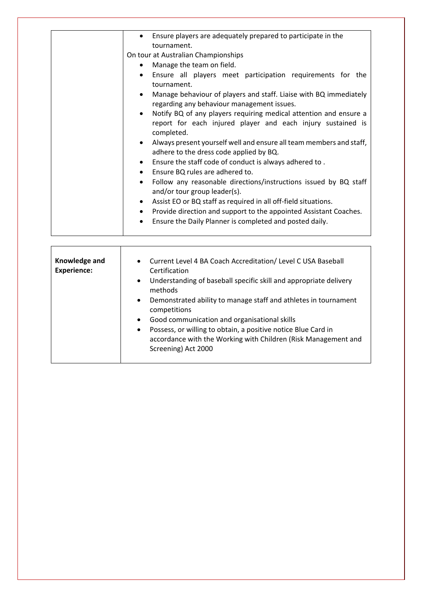| Ensure players are adequately prepared to participate in the<br>tournament.<br>On tour at Australian Championships                             |
|------------------------------------------------------------------------------------------------------------------------------------------------|
|                                                                                                                                                |
| Manage the team on field.                                                                                                                      |
| Ensure all players meet participation requirements for the<br>tournament.                                                                      |
| Manage behaviour of players and staff. Liaise with BQ immediately<br>regarding any behaviour management issues.                                |
| Notify BQ of any players requiring medical attention and ensure a<br>report for each injured player and each injury sustained is<br>completed. |
| Always present yourself well and ensure all team members and staff,<br>$\bullet$<br>adhere to the dress code applied by BQ.                    |
| Ensure the staff code of conduct is always adhered to.                                                                                         |
| Ensure BQ rules are adhered to.                                                                                                                |
| Follow any reasonable directions/instructions issued by BQ staff<br>$\bullet$<br>and/or tour group leader(s).                                  |
| Assist EO or BQ staff as required in all off-field situations.                                                                                 |
| Provide direction and support to the appointed Assistant Coaches.                                                                              |
| Ensure the Daily Planner is completed and posted daily.                                                                                        |
|                                                                                                                                                |

| Knowledge and<br><b>Experience:</b> | • Current Level 4 BA Coach Accreditation/ Level C USA Baseball<br>Certification<br>Understanding of baseball specific skill and appropriate delivery<br>$\bullet$<br>methods<br>Demonstrated ability to manage staff and athletes in tournament<br>$\bullet$<br>competitions<br>Good communication and organisational skills<br>$\bullet$<br>Possess, or willing to obtain, a positive notice Blue Card in<br>$\bullet$<br>accordance with the Working with Children (Risk Management and |
|-------------------------------------|-------------------------------------------------------------------------------------------------------------------------------------------------------------------------------------------------------------------------------------------------------------------------------------------------------------------------------------------------------------------------------------------------------------------------------------------------------------------------------------------|
|                                     | Screening) Act 2000                                                                                                                                                                                                                                                                                                                                                                                                                                                                       |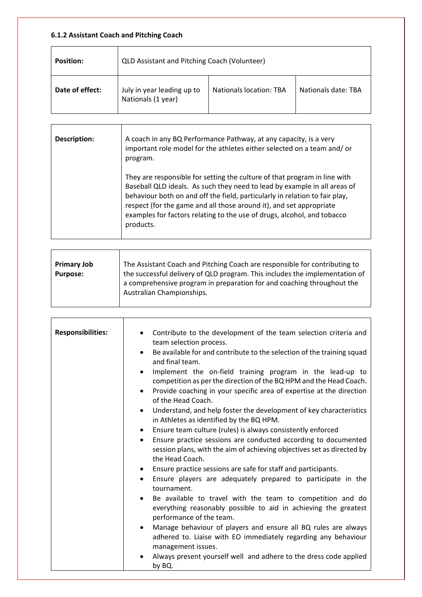# **6.1.2 Assistant Coach and Pitching Coach**

| <b>Position:</b> | QLD Assistant and Pitching Coach (Volunteer)     |                                |                     |
|------------------|--------------------------------------------------|--------------------------------|---------------------|
| Date of effect:  | July in year leading up to<br>Nationals (1 year) | <b>Nationals location: TBA</b> | Nationals date: TBA |

| Description: | A coach in any BQ Performance Pathway, at any capacity, is a very<br>important role model for the athletes either selected on a team and/ or<br>program.                                                                                                                                                                                                                                             |
|--------------|------------------------------------------------------------------------------------------------------------------------------------------------------------------------------------------------------------------------------------------------------------------------------------------------------------------------------------------------------------------------------------------------------|
|              | They are responsible for setting the culture of that program in line with<br>Baseball QLD ideals. As such they need to lead by example in all areas of<br>behaviour both on and off the field, particularly in relation to fair play,<br>respect (for the game and all those around it), and set appropriate<br>examples for factors relating to the use of drugs, alcohol, and tobacco<br>products. |

| <b>Primary Job</b> | The Assistant Coach and Pitching Coach are responsible for contributing to  |
|--------------------|-----------------------------------------------------------------------------|
| <b>Purpose:</b>    | the successful delivery of QLD program. This includes the implementation of |
|                    | a comprehensive program in preparation for and coaching throughout the      |
|                    | Australian Championships.                                                   |
|                    |                                                                             |

| <b>Responsibilities:</b> | Contribute to the development of the team selection criteria and<br>team selection process.<br>$\bullet$                                                                 |
|--------------------------|--------------------------------------------------------------------------------------------------------------------------------------------------------------------------|
|                          | Be available for and contribute to the selection of the training squad<br>and final team.                                                                                |
|                          | Implement the on-field training program in the lead-up to<br>$\bullet$<br>competition as per the direction of the BQ HPM and the Head Coach.                             |
|                          | Provide coaching in your specific area of expertise at the direction<br>$\bullet$<br>of the Head Coach.                                                                  |
|                          | Understand, and help foster the development of key characteristics<br>$\bullet$<br>in Athletes as identified by the BQ HPM.                                              |
|                          | Ensure team culture (rules) is always consistently enforced<br>$\bullet$                                                                                                 |
|                          | Ensure practice sessions are conducted according to documented<br>$\bullet$<br>session plans, with the aim of achieving objectives set as directed by<br>the Head Coach. |
|                          | Ensure practice sessions are safe for staff and participants.<br>$\bullet$                                                                                               |
|                          | Ensure players are adequately prepared to participate in the<br>$\bullet$<br>tournament.                                                                                 |
|                          | Be available to travel with the team to competition and do<br>$\bullet$<br>everything reasonably possible to aid in achieving the greatest<br>performance of the team.   |
|                          | Manage behaviour of players and ensure all BQ rules are always<br>adhered to. Liaise with EO immediately regarding any behaviour<br>management issues.                   |
|                          | Always present yourself well and adhere to the dress code applied<br>by BQ.                                                                                              |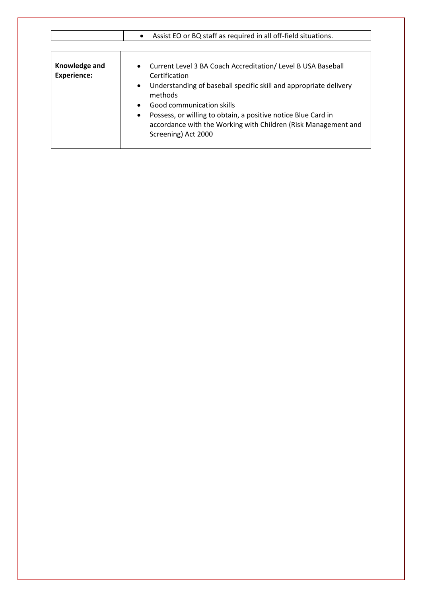|                                     | Assist EO or BQ staff as required in all off-field situations.<br>$\bullet$                                                                                                                                                                                                                                                                                                                   |
|-------------------------------------|-----------------------------------------------------------------------------------------------------------------------------------------------------------------------------------------------------------------------------------------------------------------------------------------------------------------------------------------------------------------------------------------------|
| Knowledge and<br><b>Experience:</b> | • Current Level 3 BA Coach Accreditation/ Level B USA Baseball<br>Certification<br>Understanding of baseball specific skill and appropriate delivery<br>$\bullet$<br>methods<br>Good communication skills<br>$\bullet$<br>Possess, or willing to obtain, a positive notice Blue Card in<br>$\bullet$<br>accordance with the Working with Children (Risk Management and<br>Screening) Act 2000 |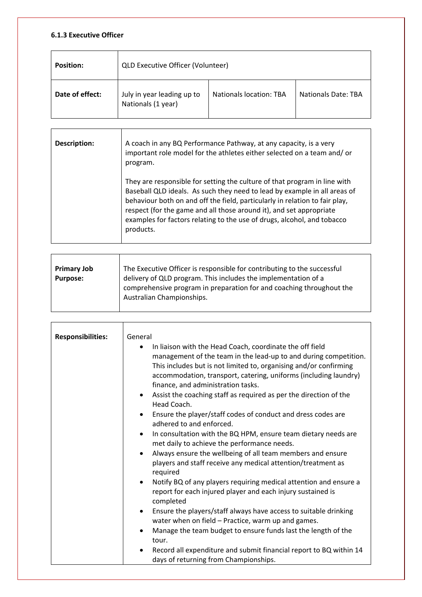### **6.1.3 Executive Officer**

| <b>Position:</b> | <b>QLD Executive Officer (Volunteer)</b>         |                                |                            |
|------------------|--------------------------------------------------|--------------------------------|----------------------------|
| Date of effect:  | July in year leading up to<br>Nationals (1 year) | <b>Nationals location: TBA</b> | <b>Nationals Date: TBA</b> |

| Description: | A coach in any BQ Performance Pathway, at any capacity, is a very<br>important role model for the athletes either selected on a team and/or<br>program.                                                                                                                                                                                                                                              |
|--------------|------------------------------------------------------------------------------------------------------------------------------------------------------------------------------------------------------------------------------------------------------------------------------------------------------------------------------------------------------------------------------------------------------|
|              | They are responsible for setting the culture of that program in line with<br>Baseball QLD ideals. As such they need to lead by example in all areas of<br>behaviour both on and off the field, particularly in relation to fair play,<br>respect (for the game and all those around it), and set appropriate<br>examples for factors relating to the use of drugs, alcohol, and tobacco<br>products. |

| <b>Primary Job</b> | The Executive Officer is responsible for contributing to the successful                                                                                             |
|--------------------|---------------------------------------------------------------------------------------------------------------------------------------------------------------------|
| <b>Purpose:</b>    | delivery of QLD program. This includes the implementation of a<br>comprehensive program in preparation for and coaching throughout the<br>Australian Championships. |

| <b>Responsibilities:</b> | General<br>In liaison with the Head Coach, coordinate the off field<br>٠<br>management of the team in the lead-up to and during competition.<br>This includes but is not limited to, organising and/or confirming<br>accommodation, transport, catering, uniforms (including laundry)<br>finance, and administration tasks.<br>Assist the coaching staff as required as per the direction of the<br>Head Coach.<br>Ensure the player/staff codes of conduct and dress codes are<br>$\bullet$<br>adhered to and enforced.<br>In consultation with the BQ HPM, ensure team dietary needs are<br>$\bullet$<br>met daily to achieve the performance needs.<br>Always ensure the wellbeing of all team members and ensure<br>$\bullet$<br>players and staff receive any medical attention/treatment as<br>required<br>Notify BQ of any players requiring medical attention and ensure a<br>$\bullet$<br>report for each injured player and each injury sustained is<br>completed |
|--------------------------|-----------------------------------------------------------------------------------------------------------------------------------------------------------------------------------------------------------------------------------------------------------------------------------------------------------------------------------------------------------------------------------------------------------------------------------------------------------------------------------------------------------------------------------------------------------------------------------------------------------------------------------------------------------------------------------------------------------------------------------------------------------------------------------------------------------------------------------------------------------------------------------------------------------------------------------------------------------------------------|
|                          | Ensure the players/staff always have access to suitable drinking<br>$\bullet$<br>water when on field – Practice, warm up and games.<br>Manage the team budget to ensure funds last the length of the<br>$\bullet$<br>tour.<br>Record all expenditure and submit financial report to BQ within 14<br>$\bullet$<br>days of returning from Championships.                                                                                                                                                                                                                                                                                                                                                                                                                                                                                                                                                                                                                      |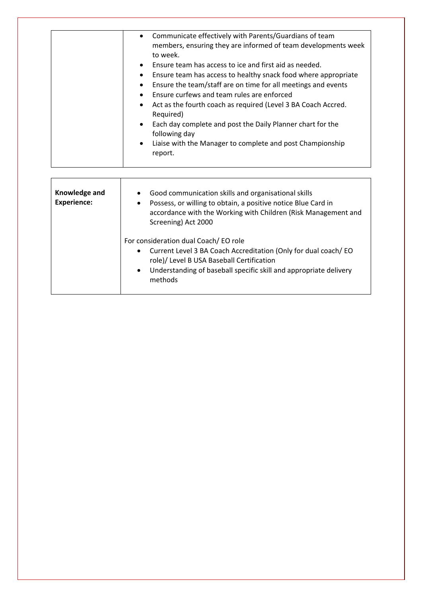| Communicate effectively with Parents/Guardians of team<br>$\bullet$<br>members, ensuring they are informed of team developments week<br>to week.<br>Ensure team has access to ice and first aid as needed.<br>$\bullet$<br>Ensure team has access to healthy snack food where appropriate<br>٠<br>Ensure the team/staff are on time for all meetings and events<br>$\bullet$<br>Ensure curfews and team rules are enforced<br>Act as the fourth coach as required (Level 3 BA Coach Accred.<br>٠<br>Required)<br>Each day complete and post the Daily Planner chart for the<br>$\bullet$<br>following day<br>Liaise with the Manager to complete and post Championship<br>$\bullet$ |
|-------------------------------------------------------------------------------------------------------------------------------------------------------------------------------------------------------------------------------------------------------------------------------------------------------------------------------------------------------------------------------------------------------------------------------------------------------------------------------------------------------------------------------------------------------------------------------------------------------------------------------------------------------------------------------------|
| report.                                                                                                                                                                                                                                                                                                                                                                                                                                                                                                                                                                                                                                                                             |
|                                                                                                                                                                                                                                                                                                                                                                                                                                                                                                                                                                                                                                                                                     |

| Knowledge and<br><b>Experience:</b> | Good communication skills and organisational skills<br>$\bullet$<br>Possess, or willing to obtain, a positive notice Blue Card in<br>٠<br>accordance with the Working with Children (Risk Management and<br>Screening) Act 2000                               |
|-------------------------------------|---------------------------------------------------------------------------------------------------------------------------------------------------------------------------------------------------------------------------------------------------------------|
|                                     | For consideration dual Coach/EO role<br>Current Level 3 BA Coach Accreditation (Only for dual coach/EO<br>$\bullet$<br>role)/ Level B USA Baseball Certification<br>Understanding of baseball specific skill and appropriate delivery<br>$\bullet$<br>methods |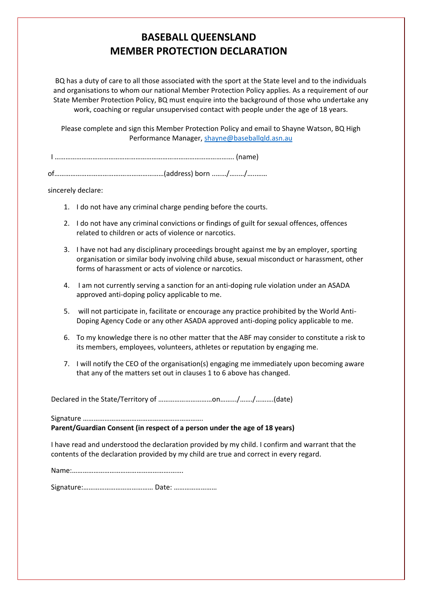# **BASEBALL QUEENSLAND MEMBER PROTECTION DECLARATION**

BQ has a duty of care to all those associated with the sport at the State level and to the individuals and organisations to whom our national Member Protection Policy applies. As a requirement of our State Member Protection Policy, BQ must enquire into the background of those who undertake any work, coaching or regular unsupervised contact with people under the age of 18 years.

Please complete and sign this Member Protection Policy and email to Shayne Watson, BQ High Performance Manager, [shayne@baseballqld.asn.au](mailto:shayne@baseballqld.asn.au)

I ………………………………………………………………………………………. (name)

of……………………………….……………………(address) born ..……/…..…/…..……

sincerely declare:

- 1. I do not have any criminal charge pending before the courts.
- 2. I do not have any criminal convictions or findings of guilt for sexual offences, offences related to children or acts of violence or narcotics.
- 3. I have not had any disciplinary proceedings brought against me by an employer, sporting organisation or similar body involving child abuse, sexual misconduct or harassment, other forms of harassment or acts of violence or narcotics.
- 4. I am not currently serving a sanction for an anti-doping rule violation under an ASADA approved anti-doping policy applicable to me.
- 5. will not participate in, facilitate or encourage any practice prohibited by the World Anti-Doping Agency Code or any other ASADA approved anti-doping policy applicable to me.
- 6. To my knowledge there is no other matter that the ABF may consider to constitute a risk to its members, employees, volunteers, athletes or reputation by engaging me.
- 7. I will notify the CEO of the organisation(s) engaging me immediately upon becoming aware that any of the matters set out in clauses 1 to 6 above has changed.

Declared in the State/Territory of …………………………on…….../……./……….(date)

Signature ………………………………………………………….

**Parent/Guardian Consent (in respect of a person under the age of 18 years)** 

I have read and understood the declaration provided by my child. I confirm and warrant that the contents of the declaration provided by my child are true and correct in every regard.

Name:……………………………………………….…….

Signature:………………………………… Date: ……………………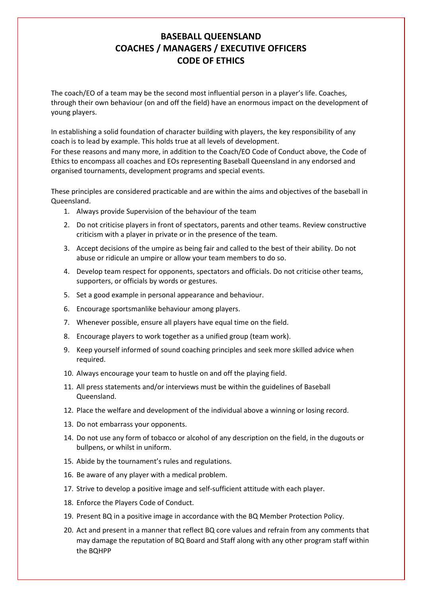# **BASEBALL QUEENSLAND COACHES / MANAGERS / EXECUTIVE OFFICERS CODE OF ETHICS**

The coach/EO of a team may be the second most influential person in a player's life. Coaches, through their own behaviour (on and off the field) have an enormous impact on the development of young players.

In establishing a solid foundation of character building with players, the key responsibility of any coach is to lead by example. This holds true at all levels of development. For these reasons and many more, in addition to the Coach/EO Code of Conduct above, the Code of Ethics to encompass all coaches and EOs representing Baseball Queensland in any endorsed and organised tournaments, development programs and special events.

These principles are considered practicable and are within the aims and objectives of the baseball in Queensland.

- 1. Always provide Supervision of the behaviour of the team
- 2. Do not criticise players in front of spectators, parents and other teams. Review constructive criticism with a player in private or in the presence of the team.
- 3. Accept decisions of the umpire as being fair and called to the best of their ability. Do not abuse or ridicule an umpire or allow your team members to do so.
- 4. Develop team respect for opponents, spectators and officials. Do not criticise other teams, supporters, or officials by words or gestures.
- 5. Set a good example in personal appearance and behaviour.
- 6. Encourage sportsmanlike behaviour among players.
- 7. Whenever possible, ensure all players have equal time on the field.
- 8. Encourage players to work together as a unified group (team work).
- 9. Keep yourself informed of sound coaching principles and seek more skilled advice when required.
- 10. Always encourage your team to hustle on and off the playing field.
- 11. All press statements and/or interviews must be within the guidelines of Baseball Queensland.
- 12. Place the welfare and development of the individual above a winning or losing record.
- 13. Do not embarrass your opponents.
- 14. Do not use any form of tobacco or alcohol of any description on the field, in the dugouts or bullpens, or whilst in uniform.
- 15. Abide by the tournament's rules and regulations.
- 16. Be aware of any player with a medical problem.
- 17. Strive to develop a positive image and self-sufficient attitude with each player.
- 18. Enforce the Players Code of Conduct.
- 19. Present BQ in a positive image in accordance with the BQ Member Protection Policy.
- 20. Act and present in a manner that reflect BQ core values and refrain from any comments that may damage the reputation of BQ Board and Staff along with any other program staff within the BQHPP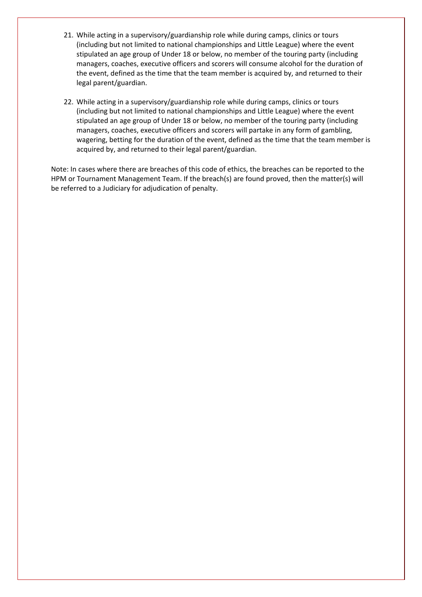- 21. While acting in a supervisory/guardianship role while during camps, clinics or tours (including but not limited to national championships and Little League) where the event stipulated an age group of Under 18 or below, no member of the touring party (including managers, coaches, executive officers and scorers will consume alcohol for the duration of the event, defined as the time that the team member is acquired by, and returned to their legal parent/guardian.
- 22. While acting in a supervisory/guardianship role while during camps, clinics or tours (including but not limited to national championships and Little League) where the event stipulated an age group of Under 18 or below, no member of the touring party (including managers, coaches, executive officers and scorers will partake in any form of gambling, wagering, betting for the duration of the event, defined as the time that the team member is acquired by, and returned to their legal parent/guardian.

Note: In cases where there are breaches of this code of ethics, the breaches can be reported to the HPM or Tournament Management Team. If the breach(s) are found proved, then the matter(s) will be referred to a Judiciary for adjudication of penalty.